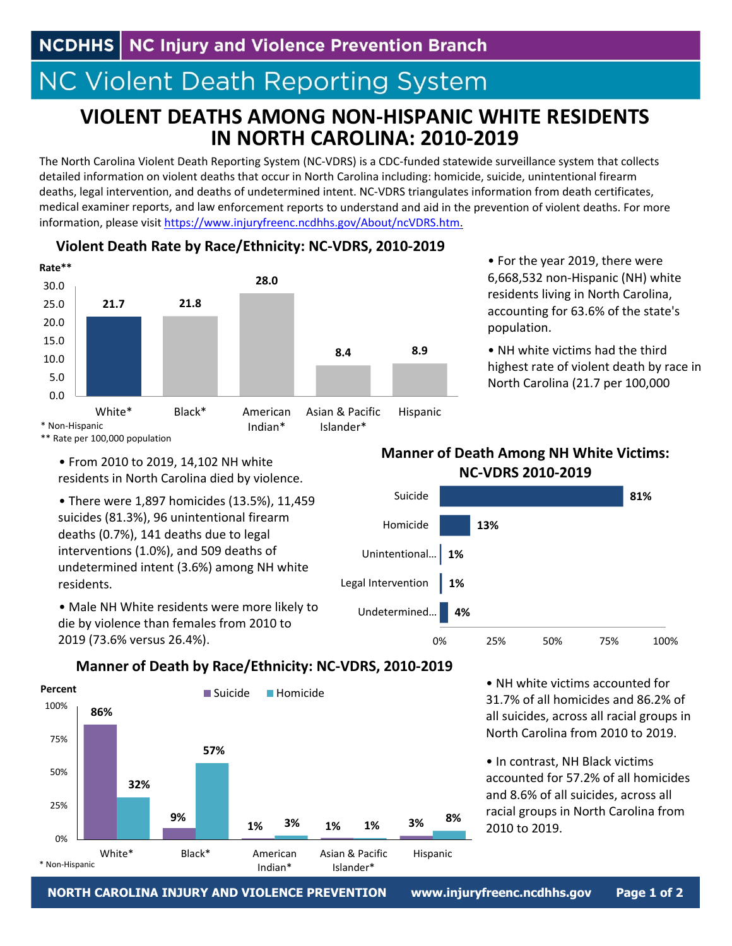# **NC Violent Death Reporting System**

# **VIOLENT DEATHS AMONG NON‐HISPANIC WHITE RESIDENTS IN NORTH CAROLINA: 2010‐2019**

The North Carolina Violent Death Reporting System (NC‐VDRS) is a CDC‐funded statewide surveillance system that collects detailed information on violent deaths that occur in North Carolina including: homicide, suicide, unintentional firearm deaths, legal intervention, and deaths of undetermined intent. NC‐VDRS triangulates information from death certificates, medical examiner reports, and law enforcement reports to understand and aid in the prevention of violent deaths. For more information, please visit https://www.injuryfreenc.ncdhhs.gov/About/ncVDRS.htm.



#### **Violent Death Rate by Race/Ethnicity: NC‐VDRS, 2010‐2019**

• For the year 2019, there were 6,668,532 non‐Hispanic (NH) white residents living in North Carolina, accounting for 63.6% of the state's population.

• NH white victims had the third highest rate of violent death by race in North Carolina (21.7 per 100,000

\*\* Rate per 100,000 population

• From 2010 to 2019, 14,102 NH white residents in North Carolina died by violence.

• There were 1,897 homicides (13.5%), 11,459 suicides (81.3%), 96 unintentional firearm deaths (0.7%), 141 deaths due to legal interventions (1.0%), and 509 deaths of undetermined intent (3.6%) among NH white residents.

• Male NH White residents were more likely to die by violence than females from 2010 to 2019 (73.6% versus 26.4%).

#### **Manner of Death Among NH White Victims: NC‐VDRS 2010‐2019**



### **Manner of Death by Race/Ethnicity: NC‐VDRS, 2010‐2019**



• NH white victims accounted for 31.7% of all homicides and 86.2% of all suicides, across all racial groups in North Carolina from 2010 to 2019.

• In contrast, NH Black victims accounted for 57.2% of all homicides and 8.6% of all suicides, across all racial groups in North Carolina from 2010 to 2019.

**NORTH CAROLINA INJURY AND VIOLENCE PREVENTION www.injuryfreenc.ncdhhs.gov Page 1 of 2**